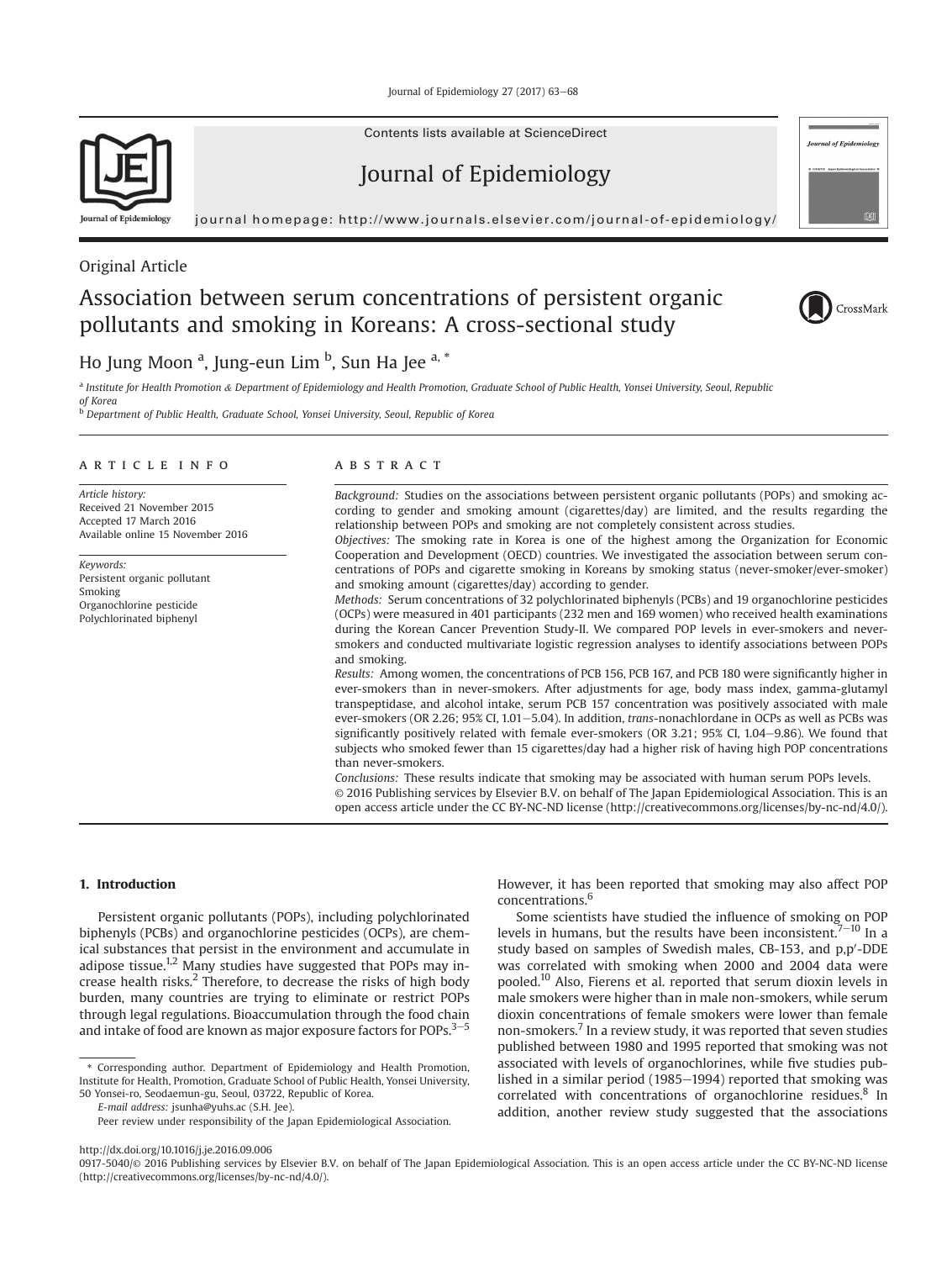Journal of Epidemiology 27 (2017) 63-68

Contents lists available at ScienceDirect

# Journal of Epidemiology

journal homepage: http://www.journals.elsevier.com/journal-of-epidemiology/

# Original Article

# Association between serum concentrations of persistent organic pollutants and smoking in Koreans: A cross-sectional study



**Journal of Epidemiology** 



Ho Jung Moon <sup>a</sup>, Jung-eun Lim <sup>b</sup>, Sun Ha Jee <sup>a, \*</sup> a Institute for Health Promotion & Department of Epidemiology and Health Promotion, Graduate School of Public Health, Yonsei University, Seoul, Republic

of Korea <sup>b D</sup> Department of Public Health, Graduate School, Yonsei University, Seoul, Republic of Korea

## article info

Article history: Received 21 November 2015 Accepted 17 March 2016 Available online 15 November 2016

Keywords: Persistent organic pollutant Smoking Organochlorine pesticide Polychlorinated biphenyl

## A B S T R A C T

Background: Studies on the associations between persistent organic pollutants (POPs) and smoking according to gender and smoking amount (cigarettes/day) are limited, and the results regarding the relationship between POPs and smoking are not completely consistent across studies.

Objectives: The smoking rate in Korea is one of the highest among the Organization for Economic Cooperation and Development (OECD) countries. We investigated the association between serum concentrations of POPs and cigarette smoking in Koreans by smoking status (never-smoker/ever-smoker) and smoking amount (cigarettes/day) according to gender.

Methods: Serum concentrations of 32 polychlorinated biphenyls (PCBs) and 19 organochlorine pesticides (OCPs) were measured in 401 participants (232 men and 169 women) who received health examinations during the Korean Cancer Prevention Study-II. We compared POP levels in ever-smokers and neversmokers and conducted multivariate logistic regression analyses to identify associations between POPs and smoking.

Results: Among women, the concentrations of PCB 156, PCB 167, and PCB 180 were significantly higher in ever-smokers than in never-smokers. After adjustments for age, body mass index, gamma-glutamyl transpeptidase, and alcohol intake, serum PCB 157 concentration was positively associated with male ever-smokers (OR 2.26; 95% CI, 1.01-5.04). In addition, trans-nonachlordane in OCPs as well as PCBs was significantly positively related with female ever-smokers (OR 3.21; 95% CI, 1.04-9.86). We found that subjects who smoked fewer than 15 cigarettes/day had a higher risk of having high POP concentrations than never-smokers.

Conclusions: These results indicate that smoking may be associated with human serum POPs levels. © 2016 Publishing services by Elsevier B.V. on behalf of The Japan Epidemiological Association. This is an open access article under the CC BY-NC-ND license (http://creativecommons.org/licenses/by-nc-nd/4.0/).

#### 1. Introduction

Persistent organic pollutants (POPs), including polychlorinated biphenyls (PCBs) and organochlorine pesticides (OCPs), are chemical substances that persist in the environment and accumulate in adipose tissue.<sup>1,2</sup> Many studies have suggested that POPs may increase health risks. $2$  Therefore, to decrease the risks of high body burden, many countries are trying to eliminate or restrict POPs through legal regulations. Bioaccumulation through the food chain and intake of food are known as major exposure factors for POPs. $3-5$ 

\* Corresponding author. Department of Epidemiology and Health Promotion, Institute for Health, Promotion, Graduate School of Public Health, Yonsei University, 50 Yonsei-ro, Seodaemun-gu, Seoul, 03722, Republic of Korea.

E-mail address: jsunha@yuhs.ac (S.H. Jee).

However, it has been reported that smoking may also affect POP concentrations.6

Some scientists have studied the influence of smoking on POP levels in humans, but the results have been inconsistent. $7^{-10}$  In a study based on samples of Swedish males, CB-153, and p,p'-DDE was correlated with smoking when 2000 and 2004 data were pooled.10 Also, Fierens et al. reported that serum dioxin levels in male smokers were higher than in male non-smokers, while serum dioxin concentrations of female smokers were lower than female non-smokers.<sup>7</sup> In a review study, it was reported that seven studies published between 1980 and 1995 reported that smoking was not associated with levels of organochlorines, while five studies published in a similar period (1985–1994) reported that smoking was correlated with concentrations of organochlorine residues.<sup>8</sup> In addition, another review study suggested that the associations

Peer review under responsibility of the Japan Epidemiological Association.

http://dx.doi.org/10.1016/j.je.2016.09.006

<sup>0917-5040/© 2016</sup> Publishing services by Elsevier B.V. on behalf of The Japan Epidemiological Association. This is an open access article under the CC BY-NC-ND license (http://creativecommons.org/licenses/by-nc-nd/4.0/).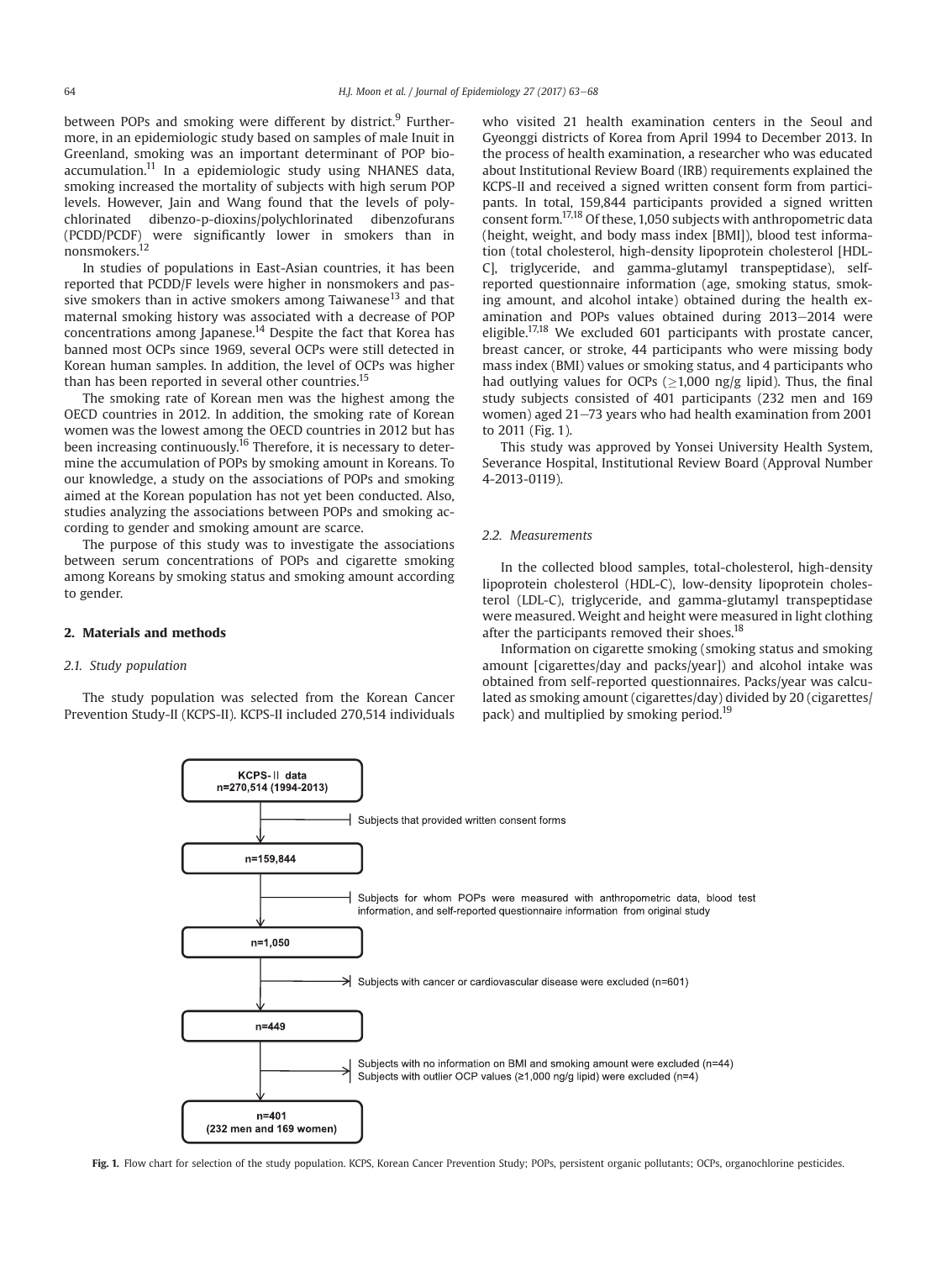between POPs and smoking were different by district.<sup>9</sup> Furthermore, in an epidemiologic study based on samples of male Inuit in Greenland, smoking was an important determinant of POP bioaccumulation.11 In a epidemiologic study using NHANES data, smoking increased the mortality of subjects with high serum POP levels. However, Jain and Wang found that the levels of polychlorinated dibenzo-p-dioxins/polychlorinated dibenzofurans (PCDD/PCDF) were significantly lower in smokers than in nonsmokers.12

In studies of populations in East-Asian countries, it has been reported that PCDD/F levels were higher in nonsmokers and passive smokers than in active smokers among Taiwanese<sup>13</sup> and that maternal smoking history was associated with a decrease of POP concentrations among Japanese.<sup>14</sup> Despite the fact that Korea has banned most OCPs since 1969, several OCPs were still detected in Korean human samples. In addition, the level of OCPs was higher than has been reported in several other countries.<sup>15</sup>

The smoking rate of Korean men was the highest among the OECD countries in 2012. In addition, the smoking rate of Korean women was the lowest among the OECD countries in 2012 but has been increasing continuously.<sup>16</sup> Therefore, it is necessary to determine the accumulation of POPs by smoking amount in Koreans. To our knowledge, a study on the associations of POPs and smoking aimed at the Korean population has not yet been conducted. Also, studies analyzing the associations between POPs and smoking according to gender and smoking amount are scarce.

The purpose of this study was to investigate the associations between serum concentrations of POPs and cigarette smoking among Koreans by smoking status and smoking amount according to gender.

#### 2. Materials and methods

## 2.1. Study population

The study population was selected from the Korean Cancer Prevention Study-II (KCPS-II). KCPS-II included 270,514 individuals

> KCPS-II data n=270,514 (1994-2013)

> > n=159.844

 $n=1.050$ 

 $n = 449$ 

who visited 21 health examination centers in the Seoul and Gyeonggi districts of Korea from April 1994 to December 2013. In the process of health examination, a researcher who was educated about Institutional Review Board (IRB) requirements explained the KCPS-II and received a signed written consent form from participants. In total, 159,844 participants provided a signed written consent form.17,18 Of these, 1,050 subjects with anthropometric data (height, weight, and body mass index [BMI]), blood test information (total cholesterol, high-density lipoprotein cholesterol [HDL-C], triglyceride, and gamma-glutamyl transpeptidase), selfreported questionnaire information (age, smoking status, smoking amount, and alcohol intake) obtained during the health examination and POPs values obtained during 2013-2014 were eligible.17,18 We excluded 601 participants with prostate cancer, breast cancer, or stroke, 44 participants who were missing body mass index (BMI) values or smoking status, and 4 participants who had outlying values for OCPs ( $\geq$ 1,000 ng/g lipid). Thus, the final study subjects consisted of 401 participants (232 men and 169 study subjects consisted of 401 participants (232 men and 169 women) aged 21-73 years who had health examination from 2001 to 2011 (Fig. 1).

This study was approved by Yonsei University Health System, Severance Hospital, Institutional Review Board (Approval Number 4-2013-0119).

#### 2.2. Measurements

Subjects for whom POPs were measured with anthropometric data, blood test information, and self-reported questionnaire information from original study

 $\geq$  Subjects with cancer or cardiovascular disease were excluded (n=601)

In the collected blood samples, total-cholesterol, high-density lipoprotein cholesterol (HDL-C), low-density lipoprotein cholesterol (LDL-C), triglyceride, and gamma-glutamyl transpeptidase were measured. Weight and height were measured in light clothing after the participants removed their shoes.<sup>18</sup>

Information on cigarette smoking (smoking status and smoking amount [cigarettes/day and packs/year]) and alcohol intake was obtained from self-reported questionnaires. Packs/year was calculated as smoking amount (cigarettes/day) divided by 20 (cigarettes/ pack) and multiplied by smoking period.<sup>19</sup>



Subjects that provided written consent forms

Fig. 1. Flow chart for selection of the study population. KCPS, Korean Cancer Prevention Study; POPs, persistent organic pollutants; OCPs, organochlorine pesticides.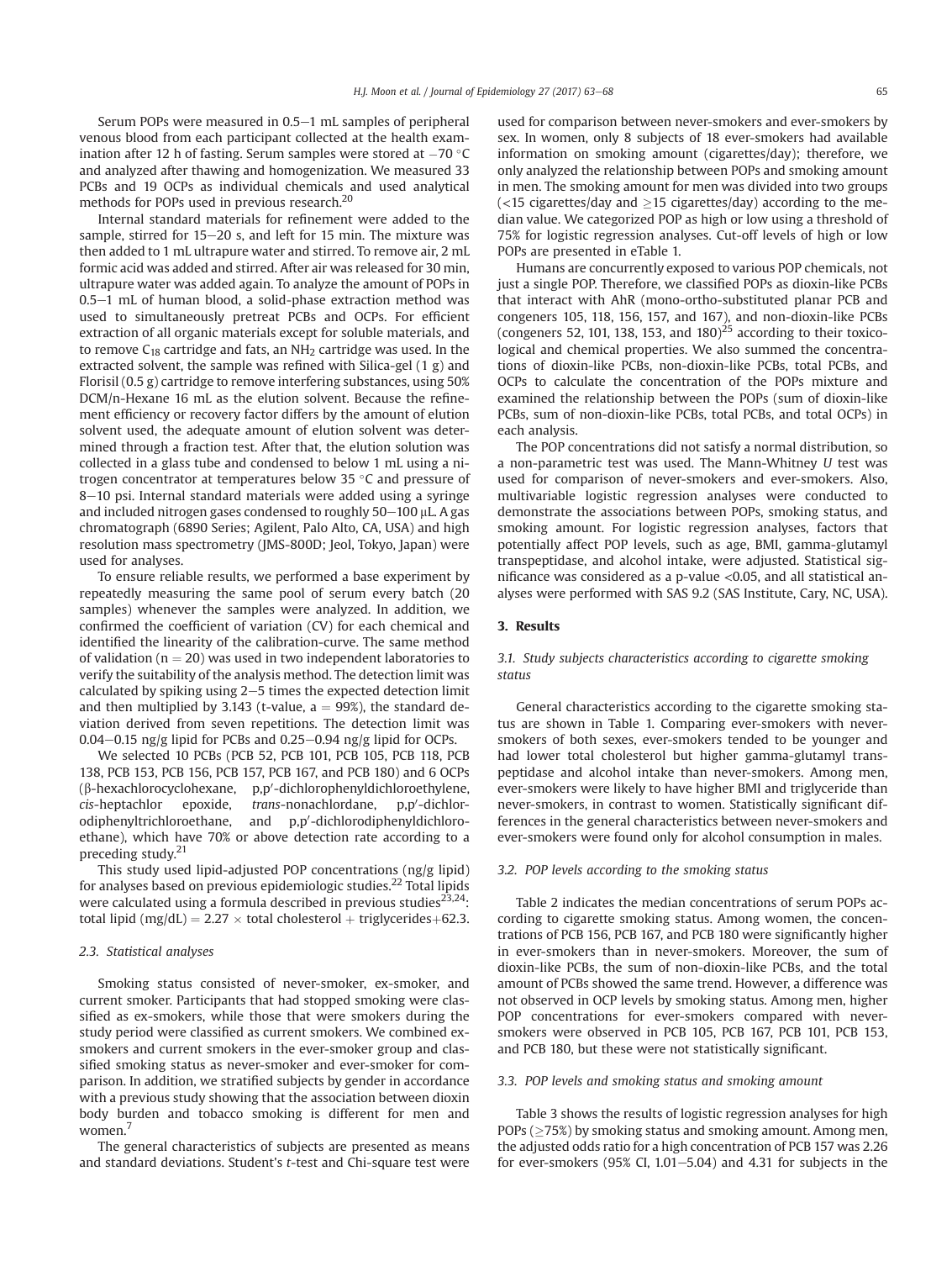Serum POPs were measured in  $0.5-1$  mL samples of peripheral venous blood from each participant collected at the health examination after 12 h of fasting. Serum samples were stored at  $-70$  °C and analyzed after thawing and homogenization. We measured 33 PCBs and 19 OCPs as individual chemicals and used analytical methods for POPs used in previous research.<sup>20</sup>

Internal standard materials for refinement were added to the sample, stirred for  $15-20$  s, and left for 15 min. The mixture was then added to 1 mL ultrapure water and stirred. To remove air, 2 mL formic acid was added and stirred. After air was released for 30 min, ultrapure water was added again. To analyze the amount of POPs in  $0.5-1$  mL of human blood, a solid-phase extraction method was used to simultaneously pretreat PCBs and OCPs. For efficient extraction of all organic materials except for soluble materials, and to remove  $C_{18}$  cartridge and fats, an NH<sub>2</sub> cartridge was used. In the extracted solvent, the sample was refined with Silica-gel (1 g) and Florisil (0.5 g) cartridge to remove interfering substances, using 50% DCM/n-Hexane 16 mL as the elution solvent. Because the refinement efficiency or recovery factor differs by the amount of elution solvent used, the adequate amount of elution solvent was determined through a fraction test. After that, the elution solution was collected in a glass tube and condensed to below 1 mL using a nitrogen concentrator at temperatures below 35  $\degree$ C and pressure of 8–10 psi. Internal standard materials were added using a syringe and included nitrogen gases condensed to roughly  $50-100$   $\mu$ L. A gas chromatograph (6890 Series; Agilent, Palo Alto, CA, USA) and high resolution mass spectrometry (JMS-800D; Jeol, Tokyo, Japan) were used for analyses.

To ensure reliable results, we performed a base experiment by repeatedly measuring the same pool of serum every batch (20 samples) whenever the samples were analyzed. In addition, we confirmed the coefficient of variation (CV) for each chemical and identified the linearity of the calibration-curve. The same method of validation ( $n = 20$ ) was used in two independent laboratories to verify the suitability of the analysis method. The detection limit was calculated by spiking using  $2-5$  times the expected detection limit and then multiplied by 3.143 (t-value,  $a = 99\%$ ), the standard deviation derived from seven repetitions. The detection limit was  $0.04-0.15$  ng/g lipid for PCBs and  $0.25-0.94$  ng/g lipid for OCPs.

We selected 10 PCBs (PCB 52, PCB 101, PCB 105, PCB 118, PCB 138, PCB 153, PCB 156, PCB 157, PCB 167, and PCB 180) and 6 OCPs  $(\beta$ -hexachlorocyclohexane,  $p, p^\prime$ -dichlorophenyldichloroethylene, cis-heptachlor epoxide, *trans*-nonachlordane, p,p'-dichlorodiphenyltrichloroethane, and p,p'-dichlorodiphenyldichloroethane), which have 70% or above detection rate according to a preceding study.<sup>21</sup>

This study used lipid-adjusted POP concentrations (ng/g lipid) for analyses based on previous epidemiologic studies.<sup>22</sup> Total lipids were calculated using a formula described in previous studies $^{23,24}$ : total lipid (mg/dL) =  $2.27 \times$  total cholesterol + triglycerides+62.3.

#### 2.3. Statistical analyses

Smoking status consisted of never-smoker, ex-smoker, and current smoker. Participants that had stopped smoking were classified as ex-smokers, while those that were smokers during the study period were classified as current smokers. We combined exsmokers and current smokers in the ever-smoker group and classified smoking status as never-smoker and ever-smoker for comparison. In addition, we stratified subjects by gender in accordance with a previous study showing that the association between dioxin body burden and tobacco smoking is different for men and women.<sup>7</sup>

The general characteristics of subjects are presented as means and standard deviations. Student's t-test and Chi-square test were

used for comparison between never-smokers and ever-smokers by sex. In women, only 8 subjects of 18 ever-smokers had available information on smoking amount (cigarettes/day); therefore, we only analyzed the relationship between POPs and smoking amount in men. The smoking amount for men was divided into two groups  $\langle$  <15 cigarettes/day and  $\geq$ 15 cigarettes/day) according to the me-<br>dian value. We categorized POP as high or low using a threshold of dian value. We categorized POP as high or low using a threshold of 75% for logistic regression analyses. Cut-off levels of high or low POPs are presented in eTable 1.

Humans are concurrently exposed to various POP chemicals, not just a single POP. Therefore, we classified POPs as dioxin-like PCBs that interact with AhR (mono-ortho-substituted planar PCB and congeners 105, 118, 156, 157, and 167), and non-dioxin-like PCBs (congeners 52, 101, 138, 153, and  $180$ <sup>25</sup> according to their toxicological and chemical properties. We also summed the concentrations of dioxin-like PCBs, non-dioxin-like PCBs, total PCBs, and OCPs to calculate the concentration of the POPs mixture and examined the relationship between the POPs (sum of dioxin-like PCBs, sum of non-dioxin-like PCBs, total PCBs, and total OCPs) in each analysis.

The POP concentrations did not satisfy a normal distribution, so a non-parametric test was used. The Mann-Whitney U test was used for comparison of never-smokers and ever-smokers. Also, multivariable logistic regression analyses were conducted to demonstrate the associations between POPs, smoking status, and smoking amount. For logistic regression analyses, factors that potentially affect POP levels, such as age, BMI, gamma-glutamyl transpeptidase, and alcohol intake, were adjusted. Statistical significance was considered as a p-value <0.05, and all statistical analyses were performed with SAS 9.2 (SAS Institute, Cary, NC, USA).

### 3. Results

#### 3.1. Study subjects characteristics according to cigarette smoking status

General characteristics according to the cigarette smoking status are shown in Table 1. Comparing ever-smokers with neversmokers of both sexes, ever-smokers tended to be younger and had lower total cholesterol but higher gamma-glutamyl transpeptidase and alcohol intake than never-smokers. Among men, ever-smokers were likely to have higher BMI and triglyceride than never-smokers, in contrast to women. Statistically significant differences in the general characteristics between never-smokers and ever-smokers were found only for alcohol consumption in males.

#### 3.2. POP levels according to the smoking status

Table 2 indicates the median concentrations of serum POPs according to cigarette smoking status. Among women, the concentrations of PCB 156, PCB 167, and PCB 180 were significantly higher in ever-smokers than in never-smokers. Moreover, the sum of dioxin-like PCBs, the sum of non-dioxin-like PCBs, and the total amount of PCBs showed the same trend. However, a difference was not observed in OCP levels by smoking status. Among men, higher POP concentrations for ever-smokers compared with neversmokers were observed in PCB 105, PCB 167, PCB 101, PCB 153, and PCB 180, but these were not statistically significant.

#### 3.3. POP levels and smoking status and smoking amount

Table 3 shows the results of logistic regression analyses for high  $POPs \geq 75\%$ ) by smoking status and smoking amount. Among men,<br>the adjusted odds ratio for a bigh concentration of PCB 157 was 2.26 the adjusted odds ratio for a high concentration of PCB 157 was 2.26 for ever-smokers (95% CI, 1.01 $-5.04$ ) and 4.31 for subjects in the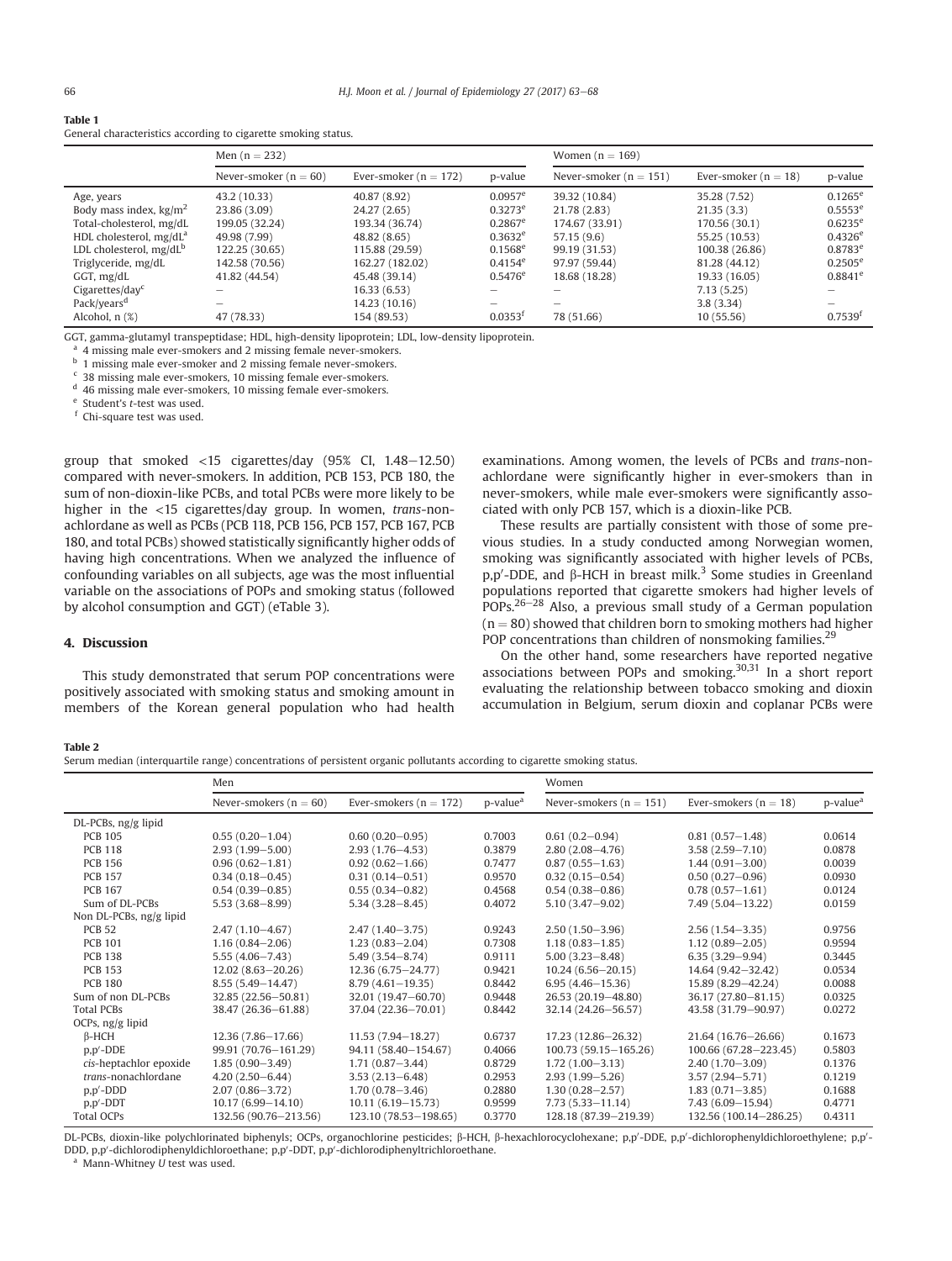| Table 1                                                        |  |  |
|----------------------------------------------------------------|--|--|
| General characteristics according to cigarette smoking status. |  |  |

|                                     | Men $(n = 232)$           |                           |                       | Women $(n = 169)$          |                          |              |  |
|-------------------------------------|---------------------------|---------------------------|-----------------------|----------------------------|--------------------------|--------------|--|
|                                     | Never-smoker ( $n = 60$ ) | Ever-smoker ( $n = 172$ ) | p-value               | Never-smoker ( $n = 151$ ) | Ever-smoker ( $n = 18$ ) | p-value      |  |
| Age, years                          | 43.2 (10.33)              | 40.87 (8.92)              | $0.0957$ <sup>e</sup> | 39.32 (10.84)              | 35.28 (7.52)             | $0.1265^e$   |  |
| Body mass index, $\text{kg/m}^2$    | 23.86 (3.09)              | 24.27 (2.65)              | $0.3273^e$            | 21.78 (2.83)               | 21.35(3.3)               | $0.5553^e$   |  |
| Total-cholesterol, mg/dL            | 199.05 (32.24)            | 193.34 (36.74)            | $0.2867$ <sup>e</sup> | 174.67 (33.91)             | 170.56 (30.1)            | $0.6235^e$   |  |
| HDL cholesterol, mg/dL <sup>a</sup> | 49.98 (7.99)              | 48.82 (8.65)              | $0.3632^e$            | 57.15 (9.6)                | 55.25 (10.53)            | $0.4326^e$   |  |
| LDL cholesterol, $mg/dL^b$          | 122.25 (30.65)            | 115.88 (29.59)            | $0.1568^e$            | 99.19 (31.53)              | 100.38 (26.86)           | $0.8783^e$   |  |
| Triglyceride, mg/dL                 | 142.58 (70.56)            | 162,27 (182,02)           | $0.4154^e$            | 97.97 (59.44)              | 81.28 (44.12)            | $0.2505^e$   |  |
| GGT, mg/dL                          | 41.82 (44.54)             | 45.48 (39.14)             | $0.5476^e$            | 18.68 (18.28)              | 19.33 (16.05)            | $0.8841^e$   |  |
| Cigarettes/day $c$                  |                           | 16.33(6.53)               |                       |                            | 7.13(5.25)               |              |  |
| Pack/years <sup>d</sup>             | -                         | 14.23 (10.16)             |                       |                            | 3.8(3.34)                |              |  |
| Alcohol, $n$ $(\%)$                 | 47 (78.33)                | 154 (89.53)               | 0.0353 <sup>t</sup>   | 78 (51.66)                 | 10(55.56)                | $0.7539^{t}$ |  |

GGT, gamma-glutamyl transpeptidase; HDL, high-density lipoprotein; LDL, low-density lipoprotein.

4 missing male ever-smokers and 2 missing female never-smokers.

**b** 1 missing male ever-smoker and 2 missing female never-smokers.

38 missing male ever-smokers, 10 missing female ever-smokers.

<sup>d</sup> 46 missing male ever-smokers, 10 missing female ever-smokers.

<sup>e</sup> Student's t-test was used.

<sup>f</sup> Chi-square test was used.

group that smoked  $<$ 15 cigarettes/day (95% CI, 1.48–12.50) compared with never-smokers. In addition, PCB 153, PCB 180, the sum of non-dioxin-like PCBs, and total PCBs were more likely to be higher in the <15 cigarettes/day group. In women, trans-nonachlordane as well as PCBs (PCB 118, PCB 156, PCB 157, PCB 167, PCB 180, and total PCBs) showed statistically significantly higher odds of having high concentrations. When we analyzed the influence of confounding variables on all subjects, age was the most influential variable on the associations of POPs and smoking status (followed by alcohol consumption and GGT) (eTable 3).

# examinations. Among women, the levels of PCBs and trans-nonachlordane were significantly higher in ever-smokers than in never-smokers, while male ever-smokers were significantly associated with only PCB 157, which is a dioxin-like PCB.

These results are partially consistent with those of some previous studies. In a study conducted among Norwegian women, smoking was significantly associated with higher levels of PCBs,  $p, p'$ -DDE, and  $\beta$ -HCH in breast milk.<sup>3</sup> Some studies in Greenland populations reported that cigarette smokers had higher levels of  $POPs.<sup>26-28</sup>$  Also, a previous small study of a German population  $(n = 80)$  showed that children born to smoking mothers had higher POP concentrations than children of nonsmoking families.<sup>29</sup>

# 4. Discussion

This study demonstrated that serum POP concentrations were positively associated with smoking status and smoking amount in members of the Korean general population who had health

On the other hand, some researchers have reported negative associations between POPs and smoking.<sup>30,31</sup> In a short report evaluating the relationship between tobacco smoking and dioxin accumulation in Belgium, serum dioxin and coplanar PCBs were

#### Table 2

Serum median (interquartile range) concentrations of persistent organic pollutants according to cigarette smoking status.

|                         | Men                        |                            |                      | Women                       |                           |                      |
|-------------------------|----------------------------|----------------------------|----------------------|-----------------------------|---------------------------|----------------------|
|                         | Never-smokers ( $n = 60$ ) | Ever-smokers ( $n = 172$ ) | p-value <sup>a</sup> | Never-smokers ( $n = 151$ ) | Ever-smokers ( $n = 18$ ) | p-value <sup>a</sup> |
| DL-PCBs, ng/g lipid     |                            |                            |                      |                             |                           |                      |
| <b>PCB 105</b>          | $0.55(0.20 - 1.04)$        | $0.60(0.20 - 0.95)$        | 0.7003               | $0.61(0.2 - 0.94)$          | $0.81(0.57-1.48)$         | 0.0614               |
| <b>PCB 118</b>          | $2.93(1.99 - 5.00)$        | $2.93(1.76 - 4.53)$        | 0.3879               | $2.80(2.08 - 4.76)$         | $3.58(2.59 - 7.10)$       | 0.0878               |
| <b>PCB 156</b>          | $0.96(0.62 - 1.81)$        | $0.92(0.62 - 1.66)$        | 0.7477               | $0.87(0.55 - 1.63)$         | $1.44(0.91 - 3.00)$       | 0.0039               |
| <b>PCB 157</b>          | $0.34(0.18 - 0.45)$        | $0.31(0.14 - 0.51)$        | 0.9570               | $0.32(0.15 - 0.54)$         | $0.50(0.27 - 0.96)$       | 0.0930               |
| <b>PCB 167</b>          | $0.54(0.39 - 0.85)$        | $0.55(0.34 - 0.82)$        | 0.4568               | $0.54(0.38 - 0.86)$         | $0.78(0.57-1.61)$         | 0.0124               |
| Sum of DL-PCBs          | $5.53(3.68 - 8.99)$        | $5.34(3.28 - 8.45)$        | 0.4072               | $5.10(3.47 - 9.02)$         | $7.49(5.04 - 13.22)$      | 0.0159               |
| Non DL-PCBs, ng/g lipid |                            |                            |                      |                             |                           |                      |
| <b>PCB 52</b>           | $2.47(1.10-4.67)$          | $2.47(1.40-3.75)$          | 0.9243               | $2.50(1.50-3.96)$           | $2.56(1.54 - 3.35)$       | 0.9756               |
| <b>PCB 101</b>          | $1.16(0.84 - 2.06)$        | $1.23(0.83 - 2.04)$        | 0.7308               | $1.18(0.83 - 1.85)$         | $1.12(0.89 - 2.05)$       | 0.9594               |
| <b>PCB 138</b>          | $5.55(4.06 - 7.43)$        | $5.49(3.54 - 8.74)$        | 0.9111               | $5.00(3.23 - 8.48)$         | $6.35(3.29 - 9.94)$       | 0.3445               |
| <b>PCB 153</b>          | $12.02(8.63 - 20.26)$      | 12.36 (6.75 - 24.77)       | 0.9421               | $10.24(6.56 - 20.15)$       | 14.64 (9.42-32.42)        | 0.0534               |
| <b>PCB 180</b>          | $8.55(5.49 - 14.47)$       | $8.79(4.61 - 19.35)$       | 0.8442               | $6.95(4.46 - 15.36)$        | 15.89 (8.29-42.24)        | 0.0088               |
| Sum of non DL-PCBs      | 32.85 (22.56-50.81)        | 32.01 (19.47-60.70)        | 0.9448               | 26.53 (20.19 - 48.80)       | 36.17 (27.80-81.15)       | 0.0325               |
| <b>Total PCBs</b>       | 38.47 (26.36-61.88)        | 37.04 (22.36-70.01)        | 0.8442               | 32.14 (24.26-56.57)         | 43.58 (31.79-90.97)       | 0.0272               |
| OCPs, ng/g lipid        |                            |                            |                      |                             |                           |                      |
| $\beta$ -HCH            | $12.36(7.86 - 17.66)$      | $11.53(7.94 - 18.27)$      | 0.6737               | 17.23 (12.86-26.32)         | 21.64 (16.76-26.66)       | 0.1673               |
| $p, p'$ -DDE            | 99.91 (70.76-161.29)       | 94.11 (58.40 - 154.67)     | 0.4066               | $100.73(59.15 - 165.26)$    | 100.66 (67.28-223.45)     | 0.5803               |
| cis-heptachlor epoxide  | $1.85(0.90 - 3.49)$        | $1.71(0.87 - 3.44)$        | 0.8729               | $1.72(1.00-3.13)$           | $2.40(1.70 - 3.09)$       | 0.1376               |
| trans-nonachlordane     | $4.20(2.50 - 6.44)$        | $3.53(2.13 - 6.48)$        | 0.2953               | $2.93(1.99 - 5.26)$         | $3.57(2.94 - 5.71)$       | 0.1219               |
| $p, p'$ -DDD            | $2.07(0.86 - 3.72)$        | $1.70(0.78 - 3.46)$        | 0.2880               | $1.30(0.28 - 2.57)$         | $1.83(0.71 - 3.85)$       | 0.1688               |
| $p, p'$ -DDT            | $10.17(6.99 - 14.10)$      | $10.11(6.19 - 15.73)$      | 0.9599               | $7.73(5.33 - 11.14)$        | $7.43(6.09 - 15.94)$      | 0.4771               |
| Total OCPs              | 132.56 (90.76-213.56)      | 123.10 (78.53-198.65)      | 0.3770               | 128.18 (87.39-219.39)       | 132.56 (100.14-286.25)    | 0.4311               |

DL-PCBs, dioxin-like polychlorinated biphenyls; OCPs, organochlorine pesticides; β-HCH, β-hexachlorocyclohexane; p,p/-DDE, p,p/-dichlorophenyldichloroethylene; p,p/-DDD, p,p'-dichlorodiphenyldichloroethane; p,p'-DDT, p,p'-dichlorodiphenyltrichloroethane.

 $a$  Mann-Whitney  $U$  test was used.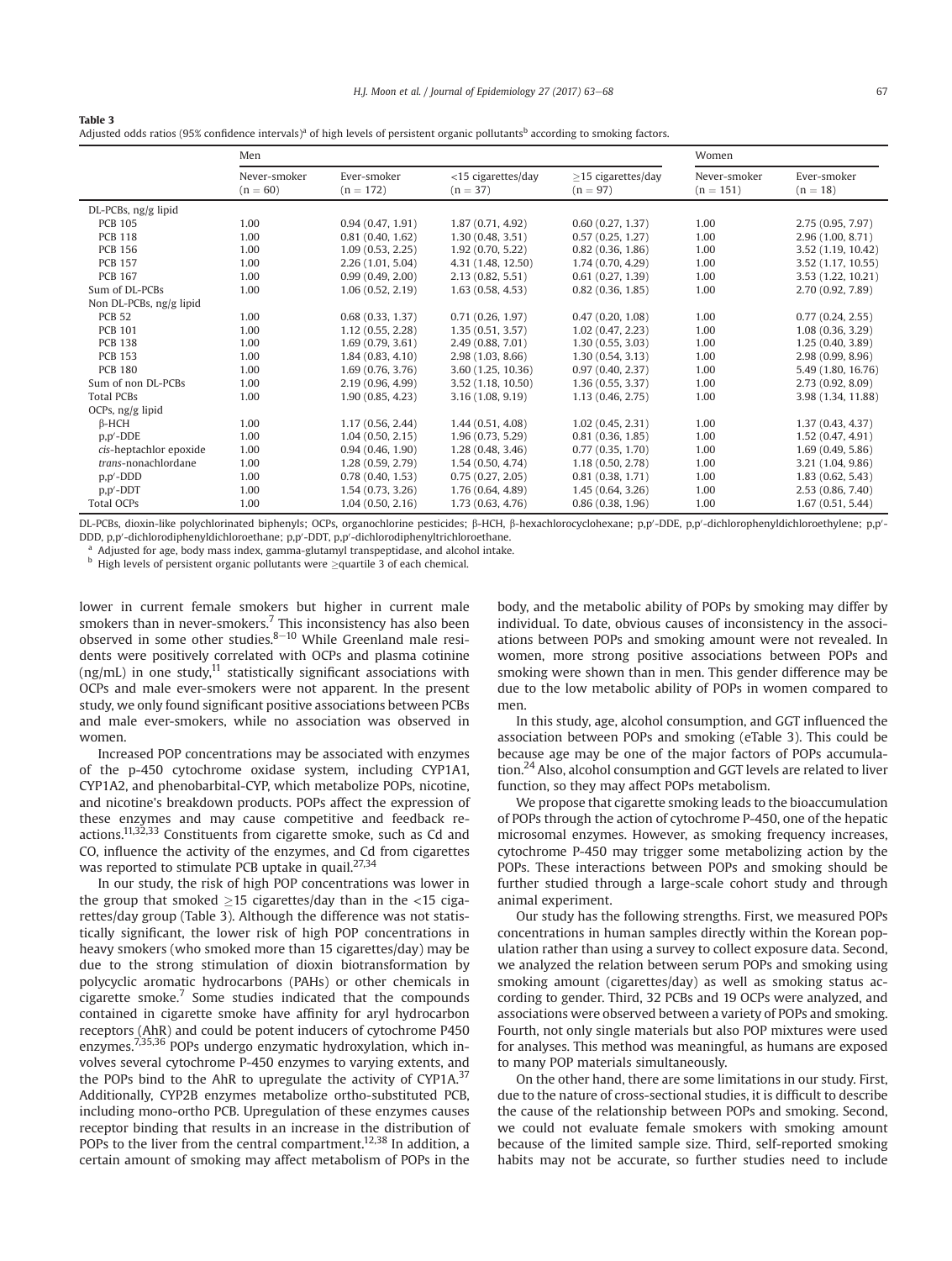| Table 3                                                                                                                                                 |  |
|---------------------------------------------------------------------------------------------------------------------------------------------------------|--|
| Adjusted odds ratios (95% confidence intervals) <sup>a</sup> of high levels of persistent organic pollutants <sup>b</sup> according to smoking factors. |  |

|                         | Men                        |                            |                                  | Women                                  |                             |                           |
|-------------------------|----------------------------|----------------------------|----------------------------------|----------------------------------------|-----------------------------|---------------------------|
|                         | Never-smoker<br>$(n = 60)$ | Ever-smoker<br>$(n = 172)$ | <15 cigarettes/day<br>$(n = 37)$ | $\geq$ 15 cigarettes/day<br>$(n = 97)$ | Never-smoker<br>$(n = 151)$ | Ever-smoker<br>$(n = 18)$ |
| $DL$ -PCBs, ng/g lipid  |                            |                            |                                  |                                        |                             |                           |
| <b>PCB 105</b>          | 1.00                       | 0.94(0.47, 1.91)           | 1.87(0.71, 4.92)                 | 0.60(0.27, 1.37)                       | 1.00                        | 2.75(0.95, 7.97)          |
| <b>PCB 118</b>          | 1.00                       | 0.81(0.40, 1.62)           | 1.30(0.48, 3.51)                 | 0.57(0.25, 1.27)                       | 1.00                        | 2.96(1.00, 8.71)          |
| <b>PCB 156</b>          | 1.00                       | 1.09(0.53, 2.25)           | 1.92(0.70, 5.22)                 | 0.82(0.36, 1.86)                       | 1.00                        | 3.52 (1.19, 10.42)        |
| <b>PCB 157</b>          | 1.00                       | 2.26 (1.01, 5.04)          | 4.31 (1.48, 12.50)               | 1.74(0.70, 4.29)                       | 1.00                        | 3.52 (1.17, 10.55)        |
| <b>PCB 167</b>          | 1.00                       | 0.99(0.49, 2.00)           | 2.13(0.82, 5.51)                 | 0.61(0.27, 1.39)                       | 1.00                        | 3.53 (1.22, 10.21)        |
| Sum of DL-PCBs          | 1.00                       | 1.06(0.52, 2.19)           | 1.63(0.58, 4.53)                 | 0.82(0.36, 1.85)                       | 1.00                        | 2.70 (0.92, 7.89)         |
| Non DL-PCBs, ng/g lipid |                            |                            |                                  |                                        |                             |                           |
| <b>PCB 52</b>           | 1.00                       | 0.68(0.33, 1.37)           | 0.71(0.26, 1.97)                 | 0.47(0.20, 1.08)                       | 1.00                        | 0.77(0.24, 2.55)          |
| <b>PCB 101</b>          | 1.00                       | 1.12(0.55, 2.28)           | 1.35(0.51, 3.57)                 | 1.02(0.47, 2.23)                       | 1.00                        | 1.08(0.36, 3.29)          |
| <b>PCB 138</b>          | 1.00                       | 1.69(0.79, 3.61)           | 2.49 (0.88, 7.01)                | 1,30(0.55, 3.03)                       | 1.00                        | 1.25(0.40, 3.89)          |
| <b>PCB 153</b>          | 1.00                       | 1.84(0.83, 4.10)           | 2.98(1.03, 8.66)                 | 1.30(0.54, 3.13)                       | 1.00                        | 2.98 (0.99, 8.96)         |
| <b>PCB 180</b>          | 1.00                       | 1.69(0.76, 3.76)           | 3.60 (1.25, 10.36)               | 0.97(0.40, 2.37)                       | 1.00                        | 5.49 (1.80, 16.76)        |
| Sum of non DL-PCBs      | 1.00                       | 2.19 (0.96, 4.99)          | 3.52 (1.18, 10.50)               | 1.36(0.55, 3.37)                       | 1.00                        | 2.73 (0.92, 8.09)         |
| <b>Total PCBs</b>       | 1.00                       | 1.90(0.85, 4.23)           | 3.16(1.08, 9.19)                 | 1.13(0.46, 2.75)                       | 1.00                        | 3.98 (1.34, 11.88)        |
| OCPs, ng/g lipid        |                            |                            |                                  |                                        |                             |                           |
| $\beta$ -HCH            | 1.00                       | 1.17(0.56, 2.44)           | 1.44(0.51, 4.08)                 | 1.02(0.45, 2.31)                       | 1.00                        | 1.37(0.43, 4.37)          |
| $p, p'$ -DDE            | 1.00                       | 1.04(0.50, 2.15)           | 1.96(0.73, 5.29)                 | 0.81(0.36, 1.85)                       | 1.00                        | 1.52 (0.47, 4.91)         |
| cis-heptachlor epoxide  | 1.00                       | 0.94(0.46, 1.90)           | 1.28(0.48, 3.46)                 | 0.77(0.35, 1.70)                       | 1.00                        | 1.69(0.49, 5.86)          |
| trans-nonachlordane     | 1.00                       | 1.28 (0.59, 2.79)          | 1.54(0.50, 4.74)                 | 1.18(0.50, 2.78)                       | 1.00                        | 3.21 (1.04, 9.86)         |
| $p, p'$ -DDD            | 1.00                       | 0.78(0.40, 1.53)           | 0.75(0.27, 2.05)                 | 0.81(0.38, 1.71)                       | 1.00                        | 1.83(0.62, 5.43)          |
| $p, p'$ -DDT            | 1.00                       | 1.54(0.73, 3.26)           | 1.76 (0.64, 4.89)                | 1.45(0.64, 3.26)                       | 1.00                        | 2.53 (0.86, 7.40)         |
| <b>Total OCPs</b>       | 1.00                       | 1.04(0.50, 2.16)           | 1.73(0.63, 4.76)                 | 0.86(0.38, 1.96)                       | 1.00                        | 1.67(0.51, 5.44)          |

DL-PCBs, dioxin-like polychlorinated biphenyls; OCPs, organochlorine pesticides; β-HCH, β-hexachlorocyclohexane; p,p/-DDE, p,p/-dichlorophenyldichloroethylene; p,p/-DDD, p,p'-dichlorodiphenyldichloroethane; p,p'-DDT, p,p'-dichlorodiphenyltrichloroethane.

a Adjusted for age, body mass index, gamma-glutamyl transpeptidase, and alcohol intake.

 $^{\rm b}$  High levels of persistent organic pollutants were  $\geq$ quartile 3 of each chemical.

lower in current female smokers but higher in current male smokers than in never-smokers.<sup>7</sup> This inconsistency has also been observed in some other studies. $8-10$  While Greenland male residents were positively correlated with OCPs and plasma cotinine  $(ng/mL)$  in one study,<sup>11</sup> statistically significant associations with OCPs and male ever-smokers were not apparent. In the present study, we only found significant positive associations between PCBs and male ever-smokers, while no association was observed in women.

Increased POP concentrations may be associated with enzymes of the p-450 cytochrome oxidase system, including CYP1A1, CYP1A2, and phenobarbital-CYP, which metabolize POPs, nicotine, and nicotine's breakdown products. POPs affect the expression of these enzymes and may cause competitive and feedback reactions.11,32,33 Constituents from cigarette smoke, such as Cd and CO, influence the activity of the enzymes, and Cd from cigarettes was reported to stimulate PCB uptake in quail.<sup>27,34</sup>

In our study, the risk of high POP concentrations was lower in the group that smoked  $\geq$ 15 cigarettes/day than in the <15 cigarettes/day group (Table 3). Although the difference was not statised rettes/day group (Table 3). Although the difference was not statistically significant, the lower risk of high POP concentrations in heavy smokers (who smoked more than 15 cigarettes/day) may be due to the strong stimulation of dioxin biotransformation by polycyclic aromatic hydrocarbons (PAHs) or other chemicals in cigarette smoke.7 Some studies indicated that the compounds contained in cigarette smoke have affinity for aryl hydrocarbon receptors (AhR) and could be potent inducers of cytochrome P450 enzymes.<sup>7,35,36</sup> POPs undergo enzymatic hydroxylation, which involves several cytochrome P-450 enzymes to varying extents, and the POPs bind to the AhR to upregulate the activity of CYP1A. $37$ Additionally, CYP2B enzymes metabolize ortho-substituted PCB, including mono-ortho PCB. Upregulation of these enzymes causes receptor binding that results in an increase in the distribution of POPs to the liver from the central compartment.<sup>12,38</sup> In addition, a certain amount of smoking may affect metabolism of POPs in the body, and the metabolic ability of POPs by smoking may differ by individual. To date, obvious causes of inconsistency in the associations between POPs and smoking amount were not revealed. In women, more strong positive associations between POPs and smoking were shown than in men. This gender difference may be due to the low metabolic ability of POPs in women compared to men.

In this study, age, alcohol consumption, and GGT influenced the association between POPs and smoking (eTable 3). This could be because age may be one of the major factors of POPs accumulation.24 Also, alcohol consumption and GGT levels are related to liver function, so they may affect POPs metabolism.

We propose that cigarette smoking leads to the bioaccumulation of POPs through the action of cytochrome P-450, one of the hepatic microsomal enzymes. However, as smoking frequency increases, cytochrome P-450 may trigger some metabolizing action by the POPs. These interactions between POPs and smoking should be further studied through a large-scale cohort study and through animal experiment.

Our study has the following strengths. First, we measured POPs concentrations in human samples directly within the Korean population rather than using a survey to collect exposure data. Second, we analyzed the relation between serum POPs and smoking using smoking amount (cigarettes/day) as well as smoking status according to gender. Third, 32 PCBs and 19 OCPs were analyzed, and associations were observed between a variety of POPs and smoking. Fourth, not only single materials but also POP mixtures were used for analyses. This method was meaningful, as humans are exposed to many POP materials simultaneously.

On the other hand, there are some limitations in our study. First, due to the nature of cross-sectional studies, it is difficult to describe the cause of the relationship between POPs and smoking. Second, we could not evaluate female smokers with smoking amount because of the limited sample size. Third, self-reported smoking habits may not be accurate, so further studies need to include